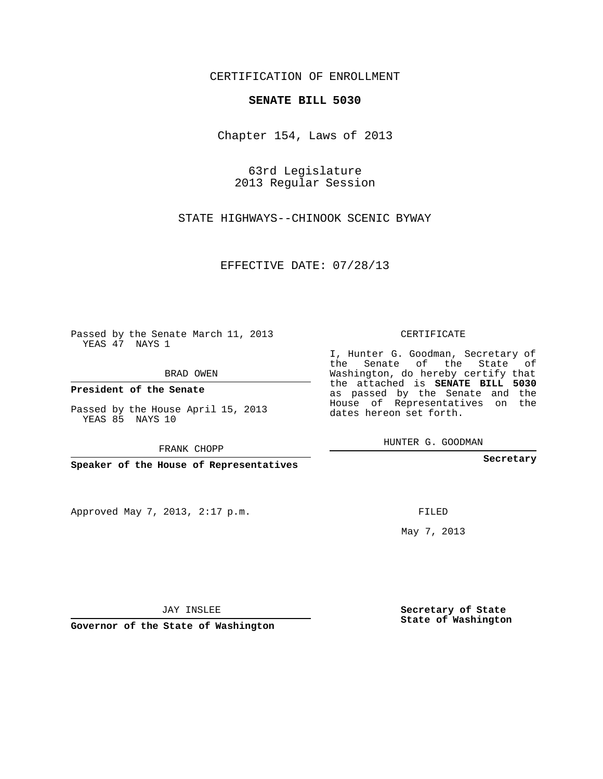## CERTIFICATION OF ENROLLMENT

## **SENATE BILL 5030**

Chapter 154, Laws of 2013

63rd Legislature 2013 Regular Session

STATE HIGHWAYS--CHINOOK SCENIC BYWAY

EFFECTIVE DATE: 07/28/13

 $\sim 10^{-11}$ 

Passed by the Senate March 11, 2013 YEAS 47 NAYS 1

BRAD OWEN

**President of the Senate**

Passed by the House April 15, 2013 YEAS 85 NAYS 10

FRANK CHOPP

**Speaker of the House of Representatives**

Approved May 7, 2013, 2:17 p.m.

CERTIFICATE

I, Hunter G. Goodman, Secretary of the Senate of the State of Washington, do hereby certify that the attached is **SENATE BILL 5030** as passed by the Senate and the House of Representatives on the dates hereon set forth.

HUNTER G. GOODMAN

**Secretary**

FILED

May 7, 2013

**Secretary of State State of Washington**

JAY INSLEE

**Governor of the State of Washington**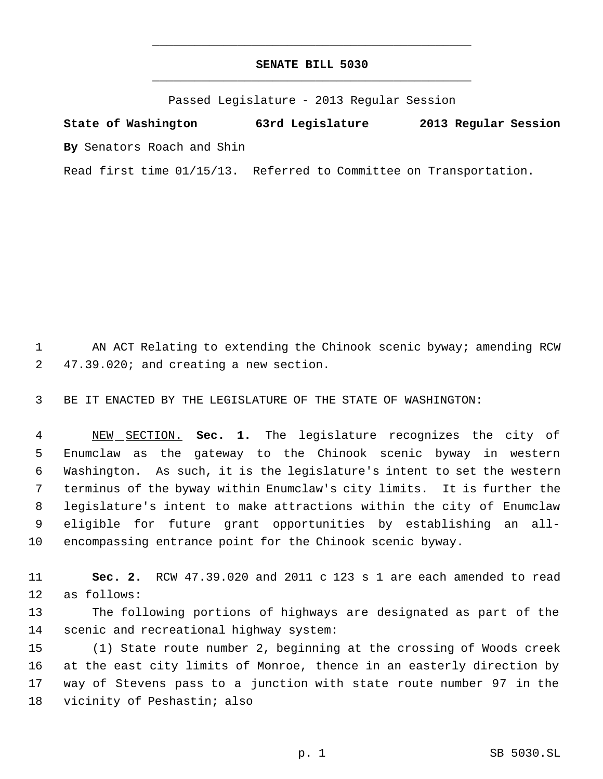## **SENATE BILL 5030** \_\_\_\_\_\_\_\_\_\_\_\_\_\_\_\_\_\_\_\_\_\_\_\_\_\_\_\_\_\_\_\_\_\_\_\_\_\_\_\_\_\_\_\_\_

\_\_\_\_\_\_\_\_\_\_\_\_\_\_\_\_\_\_\_\_\_\_\_\_\_\_\_\_\_\_\_\_\_\_\_\_\_\_\_\_\_\_\_\_\_

Passed Legislature - 2013 Regular Session

**State of Washington 63rd Legislature 2013 Regular Session By** Senators Roach and Shin

Read first time 01/15/13. Referred to Committee on Transportation.

1 AN ACT Relating to extending the Chinook scenic byway; amending RCW 47.39.020; and creating a new section.

BE IT ENACTED BY THE LEGISLATURE OF THE STATE OF WASHINGTON:

 NEW SECTION. **Sec. 1.** The legislature recognizes the city of Enumclaw as the gateway to the Chinook scenic byway in western Washington. As such, it is the legislature's intent to set the western terminus of the byway within Enumclaw's city limits. It is further the legislature's intent to make attractions within the city of Enumclaw eligible for future grant opportunities by establishing an all-encompassing entrance point for the Chinook scenic byway.

 **Sec. 2.** RCW 47.39.020 and 2011 c 123 s 1 are each amended to read as follows:

 The following portions of highways are designated as part of the scenic and recreational highway system:

 (1) State route number 2, beginning at the crossing of Woods creek at the east city limits of Monroe, thence in an easterly direction by way of Stevens pass to a junction with state route number 97 in the vicinity of Peshastin; also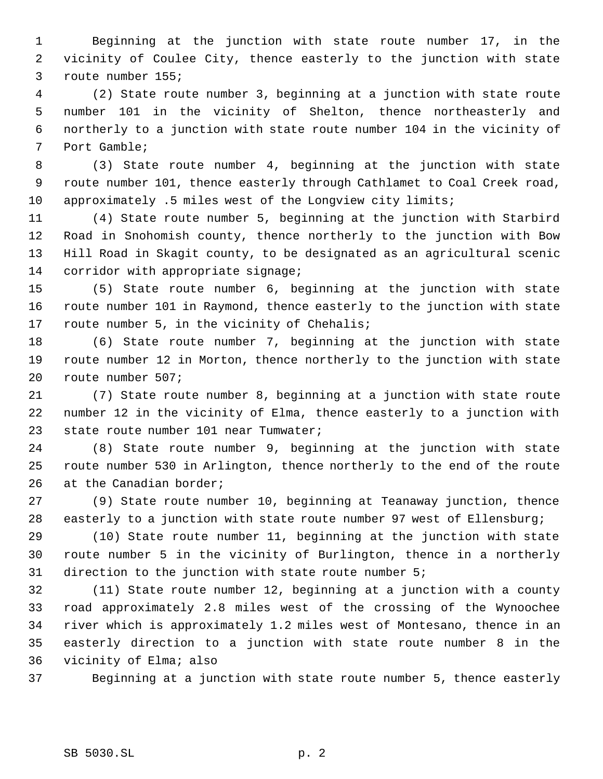Beginning at the junction with state route number 17, in the vicinity of Coulee City, thence easterly to the junction with state route number 155;

 (2) State route number 3, beginning at a junction with state route number 101 in the vicinity of Shelton, thence northeasterly and northerly to a junction with state route number 104 in the vicinity of Port Gamble;

 (3) State route number 4, beginning at the junction with state route number 101, thence easterly through Cathlamet to Coal Creek road, approximately .5 miles west of the Longview city limits;

 (4) State route number 5, beginning at the junction with Starbird Road in Snohomish county, thence northerly to the junction with Bow Hill Road in Skagit county, to be designated as an agricultural scenic 14 corridor with appropriate signage;

 (5) State route number 6, beginning at the junction with state route number 101 in Raymond, thence easterly to the junction with state route number 5, in the vicinity of Chehalis;

 (6) State route number 7, beginning at the junction with state route number 12 in Morton, thence northerly to the junction with state route number 507;

 (7) State route number 8, beginning at a junction with state route number 12 in the vicinity of Elma, thence easterly to a junction with state route number 101 near Tumwater;

 (8) State route number 9, beginning at the junction with state route number 530 in Arlington, thence northerly to the end of the route 26 at the Canadian border;

 (9) State route number 10, beginning at Teanaway junction, thence easterly to a junction with state route number 97 west of Ellensburg;

 (10) State route number 11, beginning at the junction with state route number 5 in the vicinity of Burlington, thence in a northerly direction to the junction with state route number 5;

 (11) State route number 12, beginning at a junction with a county road approximately 2.8 miles west of the crossing of the Wynoochee river which is approximately 1.2 miles west of Montesano, thence in an easterly direction to a junction with state route number 8 in the vicinity of Elma; also

Beginning at a junction with state route number 5, thence easterly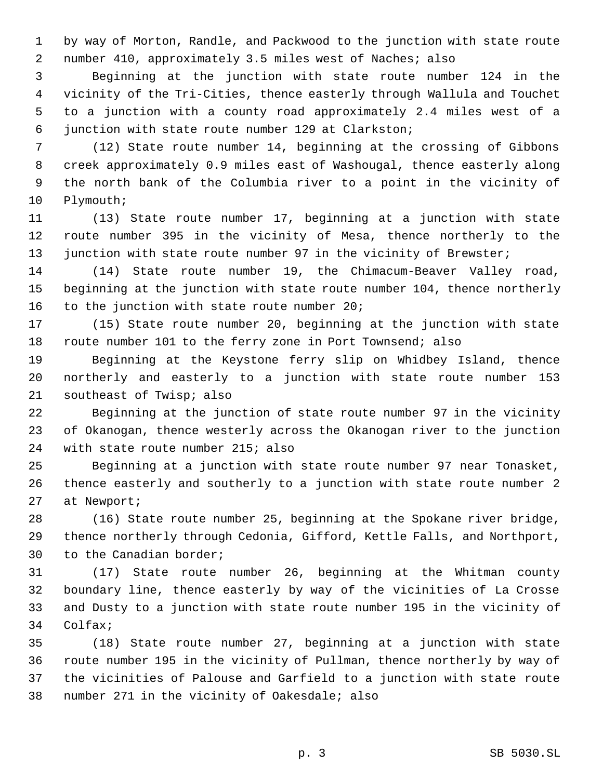by way of Morton, Randle, and Packwood to the junction with state route number 410, approximately 3.5 miles west of Naches; also

 Beginning at the junction with state route number 124 in the vicinity of the Tri-Cities, thence easterly through Wallula and Touchet to a junction with a county road approximately 2.4 miles west of a junction with state route number 129 at Clarkston;

 (12) State route number 14, beginning at the crossing of Gibbons creek approximately 0.9 miles east of Washougal, thence easterly along the north bank of the Columbia river to a point in the vicinity of Plymouth;

 (13) State route number 17, beginning at a junction with state route number 395 in the vicinity of Mesa, thence northerly to the 13 junction with state route number 97 in the vicinity of Brewster;

 (14) State route number 19, the Chimacum-Beaver Valley road, beginning at the junction with state route number 104, thence northerly 16 to the junction with state route number 20;

 (15) State route number 20, beginning at the junction with state route number 101 to the ferry zone in Port Townsend; also

 Beginning at the Keystone ferry slip on Whidbey Island, thence northerly and easterly to a junction with state route number 153 southeast of Twisp; also

 Beginning at the junction of state route number 97 in the vicinity of Okanogan, thence westerly across the Okanogan river to the junction with state route number 215; also

 Beginning at a junction with state route number 97 near Tonasket, thence easterly and southerly to a junction with state route number 2 at Newport;

 (16) State route number 25, beginning at the Spokane river bridge, thence northerly through Cedonia, Gifford, Kettle Falls, and Northport, to the Canadian border;

 (17) State route number 26, beginning at the Whitman county boundary line, thence easterly by way of the vicinities of La Crosse and Dusty to a junction with state route number 195 in the vicinity of Colfax;

 (18) State route number 27, beginning at a junction with state route number 195 in the vicinity of Pullman, thence northerly by way of the vicinities of Palouse and Garfield to a junction with state route number 271 in the vicinity of Oakesdale; also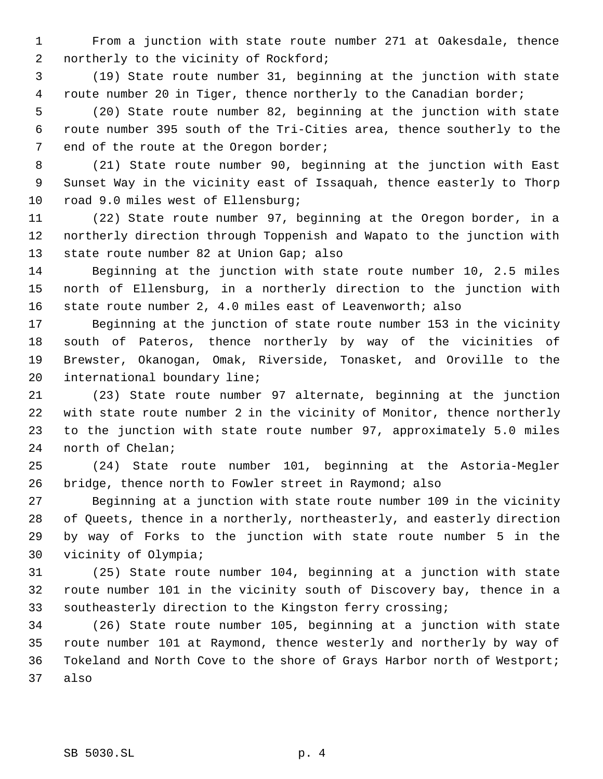From a junction with state route number 271 at Oakesdale, thence 2 northerly to the vicinity of Rockford;

 (19) State route number 31, beginning at the junction with state 4 route number 20 in Tiger, thence northerly to the Canadian border;

 (20) State route number 82, beginning at the junction with state route number 395 south of the Tri-Cities area, thence southerly to the 7 end of the route at the Oregon border;

 (21) State route number 90, beginning at the junction with East Sunset Way in the vicinity east of Issaquah, thence easterly to Thorp road 9.0 miles west of Ellensburg;

 (22) State route number 97, beginning at the Oregon border, in a northerly direction through Toppenish and Wapato to the junction with 13 state route number 82 at Union Gap; also

 Beginning at the junction with state route number 10, 2.5 miles north of Ellensburg, in a northerly direction to the junction with state route number 2, 4.0 miles east of Leavenworth; also

 Beginning at the junction of state route number 153 in the vicinity south of Pateros, thence northerly by way of the vicinities of Brewster, Okanogan, Omak, Riverside, Tonasket, and Oroville to the international boundary line;

 (23) State route number 97 alternate, beginning at the junction with state route number 2 in the vicinity of Monitor, thence northerly to the junction with state route number 97, approximately 5.0 miles north of Chelan;

 (24) State route number 101, beginning at the Astoria-Megler bridge, thence north to Fowler street in Raymond; also

 Beginning at a junction with state route number 109 in the vicinity of Queets, thence in a northerly, northeasterly, and easterly direction by way of Forks to the junction with state route number 5 in the vicinity of Olympia;

 (25) State route number 104, beginning at a junction with state route number 101 in the vicinity south of Discovery bay, thence in a southeasterly direction to the Kingston ferry crossing;

 (26) State route number 105, beginning at a junction with state route number 101 at Raymond, thence westerly and northerly by way of Tokeland and North Cove to the shore of Grays Harbor north of Westport; also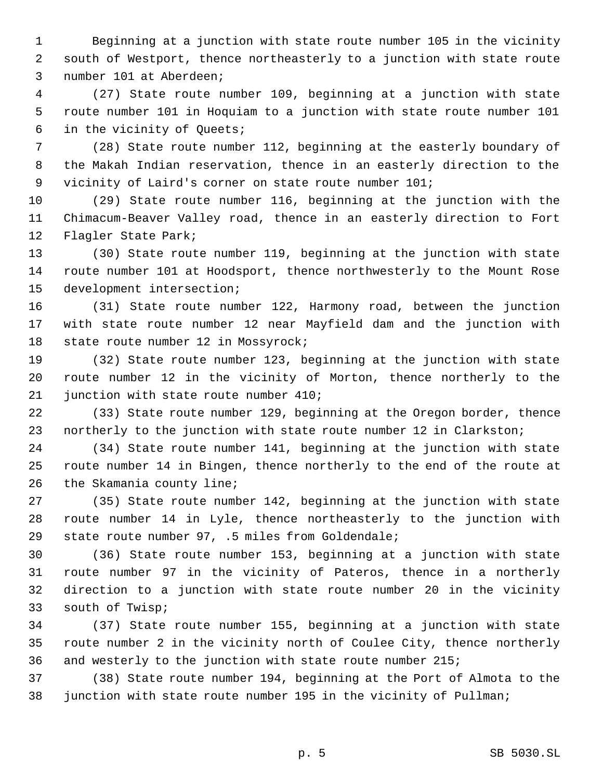Beginning at a junction with state route number 105 in the vicinity south of Westport, thence northeasterly to a junction with state route number 101 at Aberdeen;

 (27) State route number 109, beginning at a junction with state route number 101 in Hoquiam to a junction with state route number 101 in the vicinity of Queets;

 (28) State route number 112, beginning at the easterly boundary of the Makah Indian reservation, thence in an easterly direction to the vicinity of Laird's corner on state route number 101;

 (29) State route number 116, beginning at the junction with the Chimacum-Beaver Valley road, thence in an easterly direction to Fort Flagler State Park;

 (30) State route number 119, beginning at the junction with state route number 101 at Hoodsport, thence northwesterly to the Mount Rose development intersection;

 (31) State route number 122, Harmony road, between the junction with state route number 12 near Mayfield dam and the junction with 18 state route number 12 in Mossyrock;

 (32) State route number 123, beginning at the junction with state route number 12 in the vicinity of Morton, thence northerly to the junction with state route number 410;

 (33) State route number 129, beginning at the Oregon border, thence northerly to the junction with state route number 12 in Clarkston;

 (34) State route number 141, beginning at the junction with state route number 14 in Bingen, thence northerly to the end of the route at the Skamania county line;

 (35) State route number 142, beginning at the junction with state route number 14 in Lyle, thence northeasterly to the junction with state route number 97, .5 miles from Goldendale;

 (36) State route number 153, beginning at a junction with state route number 97 in the vicinity of Pateros, thence in a northerly direction to a junction with state route number 20 in the vicinity south of Twisp;

 (37) State route number 155, beginning at a junction with state route number 2 in the vicinity north of Coulee City, thence northerly and westerly to the junction with state route number 215;

 (38) State route number 194, beginning at the Port of Almota to the junction with state route number 195 in the vicinity of Pullman;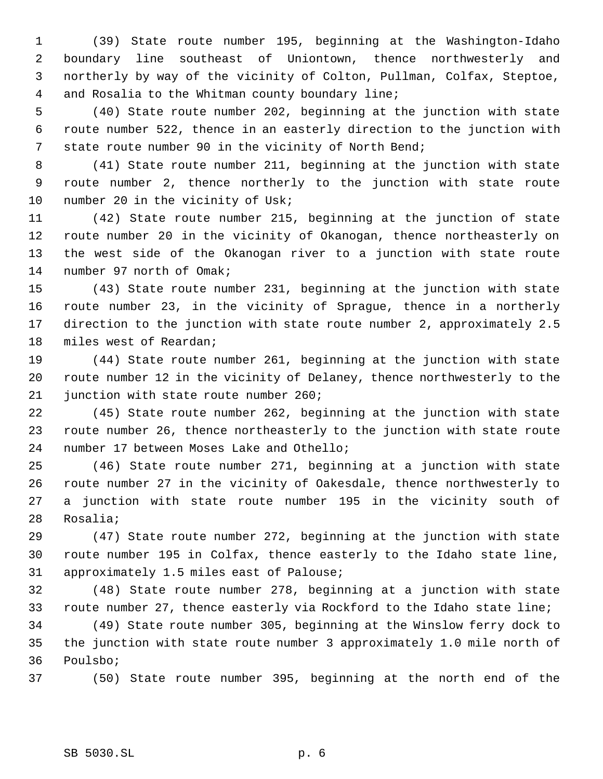(39) State route number 195, beginning at the Washington-Idaho boundary line southeast of Uniontown, thence northwesterly and northerly by way of the vicinity of Colton, Pullman, Colfax, Steptoe, and Rosalia to the Whitman county boundary line;

 (40) State route number 202, beginning at the junction with state route number 522, thence in an easterly direction to the junction with state route number 90 in the vicinity of North Bend;

 (41) State route number 211, beginning at the junction with state route number 2, thence northerly to the junction with state route 10 number 20 in the vicinity of Usk;

 (42) State route number 215, beginning at the junction of state route number 20 in the vicinity of Okanogan, thence northeasterly on the west side of the Okanogan river to a junction with state route number 97 north of Omak;

 (43) State route number 231, beginning at the junction with state route number 23, in the vicinity of Sprague, thence in a northerly direction to the junction with state route number 2, approximately 2.5 miles west of Reardan;

 (44) State route number 261, beginning at the junction with state route number 12 in the vicinity of Delaney, thence northwesterly to the junction with state route number 260;

 (45) State route number 262, beginning at the junction with state route number 26, thence northeasterly to the junction with state route number 17 between Moses Lake and Othello;

 (46) State route number 271, beginning at a junction with state route number 27 in the vicinity of Oakesdale, thence northwesterly to a junction with state route number 195 in the vicinity south of Rosalia;

 (47) State route number 272, beginning at the junction with state route number 195 in Colfax, thence easterly to the Idaho state line, approximately 1.5 miles east of Palouse;

 (48) State route number 278, beginning at a junction with state route number 27, thence easterly via Rockford to the Idaho state line;

 (49) State route number 305, beginning at the Winslow ferry dock to the junction with state route number 3 approximately 1.0 mile north of Poulsbo;

(50) State route number 395, beginning at the north end of the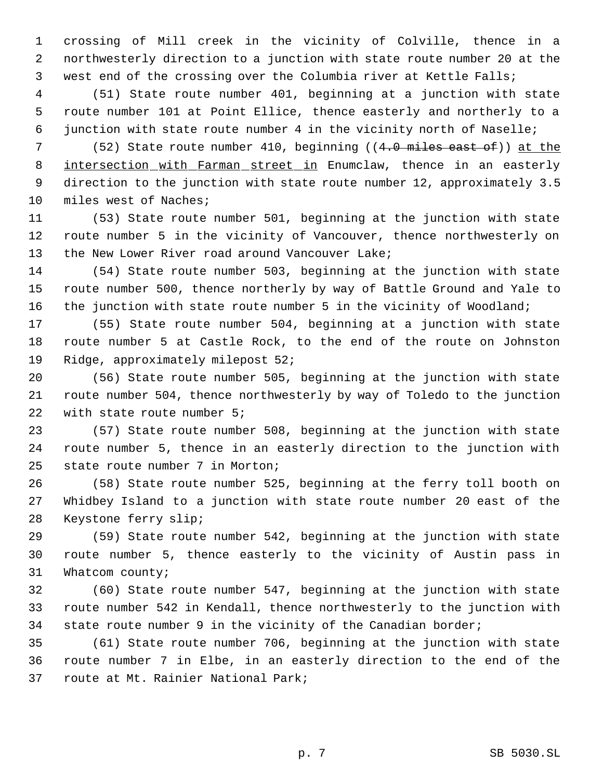crossing of Mill creek in the vicinity of Colville, thence in a northwesterly direction to a junction with state route number 20 at the west end of the crossing over the Columbia river at Kettle Falls;

 (51) State route number 401, beginning at a junction with state route number 101 at Point Ellice, thence easterly and northerly to a junction with state route number 4 in the vicinity north of Naselle;

 (52) State route number 410, beginning ((4.0 miles east of)) at the 8 intersection with Farman street in Enumclaw, thence in an easterly direction to the junction with state route number 12, approximately 3.5 miles west of Naches;

 (53) State route number 501, beginning at the junction with state route number 5 in the vicinity of Vancouver, thence northwesterly on 13 the New Lower River road around Vancouver Lake;

 (54) State route number 503, beginning at the junction with state route number 500, thence northerly by way of Battle Ground and Yale to the junction with state route number 5 in the vicinity of Woodland;

 (55) State route number 504, beginning at a junction with state route number 5 at Castle Rock, to the end of the route on Johnston Ridge, approximately milepost 52;

 (56) State route number 505, beginning at the junction with state route number 504, thence northwesterly by way of Toledo to the junction with state route number 5;

 (57) State route number 508, beginning at the junction with state route number 5, thence in an easterly direction to the junction with state route number 7 in Morton;

 (58) State route number 525, beginning at the ferry toll booth on Whidbey Island to a junction with state route number 20 east of the Keystone ferry slip;

 (59) State route number 542, beginning at the junction with state route number 5, thence easterly to the vicinity of Austin pass in Whatcom county;

 (60) State route number 547, beginning at the junction with state route number 542 in Kendall, thence northwesterly to the junction with state route number 9 in the vicinity of the Canadian border;

 (61) State route number 706, beginning at the junction with state route number 7 in Elbe, in an easterly direction to the end of the route at Mt. Rainier National Park;